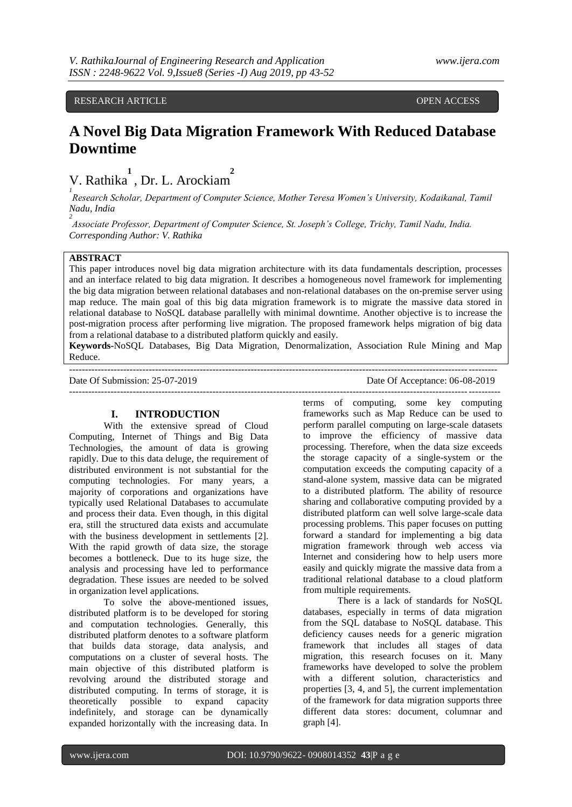### RESEARCH ARTICLE **CONSERVERS** OPEN ACCESS

## **A Novel Big Data Migration Framework With Reduced Database Downtime**

V. Rathika **1**  , Dr. L. Arockiam **2**

*1 Research Scholar, Department of Computer Science, Mother Teresa Women's University, Kodaikanal, Tamil Nadu, India*

*2 Associate Professor, Department of Computer Science, St. Joseph's College, Trichy, Tamil Nadu, India. Corresponding Author: V. Rathika*

### **ABSTRACT**

This paper introduces novel big data migration architecture with its data fundamentals description, processes and an interface related to big data migration. It describes a homogeneous novel framework for implementing the big data migration between relational databases and non-relational databases on the on-premise server using map reduce. The main goal of this big data migration framework is to migrate the massive data stored in relational database to NoSQL database parallelly with minimal downtime. Another objective is to increase the post-migration process after performing live migration. The proposed framework helps migration of big data from a relational database to a distributed platform quickly and easily.

**Keywords-**NoSQL Databases, Big Data Migration, Denormalization, Association Rule Mining and Map Reduce. --------------------------------------------------------------------------------------------------------------------------------------

---------------------------------------------------------------------------------------------------------------------------------------

Date Of Submission: 25-07-2019 Date Of Acceptance: 06-08-2019

### **I. INTRODUCTION**

With the extensive spread of Cloud Computing, Internet of Things and Big Data Technologies, the amount of data is growing rapidly. Due to this data deluge, the requirement of distributed environment is not substantial for the computing technologies. For many years, a majority of corporations and organizations have typically used Relational Databases to accumulate and process their data. Even though, in this digital era, still the structured data exists and accumulate with the business development in settlements [2]. With the rapid growth of data size, the storage becomes a bottleneck. Due to its huge size, the analysis and processing have led to performance degradation. These issues are needed to be solved in organization level applications.

To solve the above-mentioned issues, distributed platform is to be developed for storing and computation technologies. Generally, this distributed platform denotes to a software platform that builds data storage, data analysis, and computations on a cluster of several hosts. The main objective of this distributed platform is revolving around the distributed storage and distributed computing. In terms of storage, it is theoretically possible to expand capacity indefinitely, and storage can be dynamically expanded horizontally with the increasing data. In

terms of computing, some key computing frameworks such as Map Reduce can be used to perform parallel computing on large-scale datasets to improve the efficiency of massive data processing. Therefore, when the data size exceeds the storage capacity of a single-system or the computation exceeds the computing capacity of a stand-alone system, massive data can be migrated to a distributed platform. The ability of resource sharing and collaborative computing provided by a distributed platform can well solve large-scale data processing problems. This paper focuses on putting forward a standard for implementing a big data migration framework through web access via Internet and considering how to help users more easily and quickly migrate the massive data from a traditional relational database to a cloud platform from multiple requirements.

There is a lack of standards for NoSQL databases, especially in terms of data migration from the SQL database to NoSQL database. This deficiency causes needs for a generic migration framework that includes all stages of data migration, this research focuses on it. Many frameworks have developed to solve the problem with a different solution, characteristics and properties [3, 4, and 5], the current implementation of the framework for data migration supports three different data stores: document, columnar and graph [4].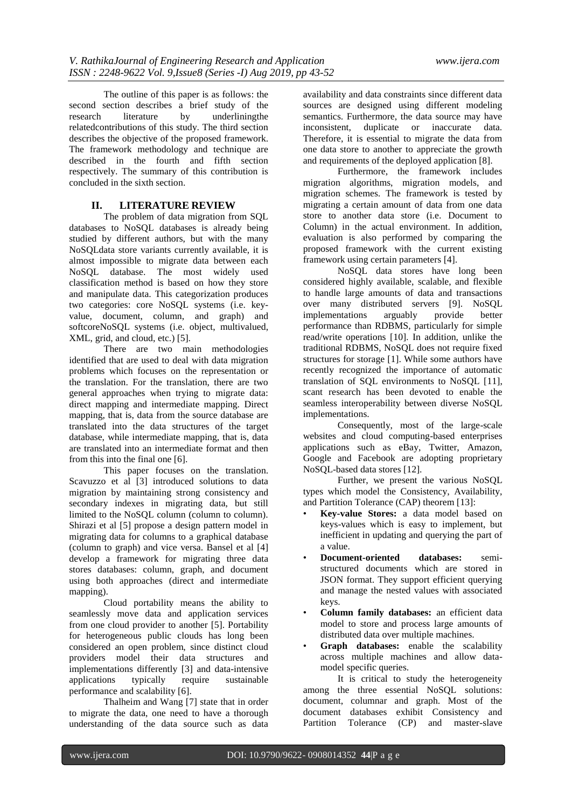The outline of this paper is as follows: the second section describes a brief study of the research literature by underliningthe relatedcontributions of this study. The third section describes the objective of the proposed framework. The framework methodology and technique are described in the fourth and fifth section respectively. The summary of this contribution is concluded in the sixth section.

### **II. LITERATURE REVIEW**

The problem of data migration from SQL databases to NoSQL databases is already being studied by different authors, but with the many NoSQLdata store variants currently available, it is almost impossible to migrate data between each NoSQL database. The most widely used classification method is based on how they store and manipulate data. This categorization produces two categories: core NoSQL systems (i.e. keyvalue, document, column, and graph) and softcoreNoSQL systems (i.e. object, multivalued, XML, grid, and cloud, etc.) [5].

There are two main methodologies identified that are used to deal with data migration problems which focuses on the representation or the translation. For the translation, there are two general approaches when trying to migrate data: direct mapping and intermediate mapping. Direct mapping, that is, data from the source database are translated into the data structures of the target database, while intermediate mapping, that is, data are translated into an intermediate format and then from this into the final one [6].

This paper focuses on the translation. Scavuzzo et al [3] introduced solutions to data migration by maintaining strong consistency and secondary indexes in migrating data, but still limited to the NoSQL column (column to column). Shirazi et al [5] propose a design pattern model in migrating data for columns to a graphical database (column to graph) and vice versa. Bansel et al [4] develop a framework for migrating three data stores databases: column, graph, and document using both approaches (direct and intermediate mapping).

Cloud portability means the ability to seamlessly move data and application services from one cloud provider to another [5]. Portability for heterogeneous public clouds has long been considered an open problem, since distinct cloud providers model their data structures and implementations differently [3] and data-intensive applications typically require sustainable performance and scalability [6].

Thalheim and Wang [7] state that in order to migrate the data, one need to have a thorough understanding of the data source such as data

availability and data constraints since different data sources are designed using different modeling semantics. Furthermore, the data source may have inconsistent, duplicate or inaccurate data. Therefore, it is essential to migrate the data from one data store to another to appreciate the growth and requirements of the deployed application [8].

Furthermore, the framework includes migration algorithms, migration models, and migration schemes. The framework is tested by migrating a certain amount of data from one data store to another data store (i.e. Document to Column) in the actual environment. In addition, evaluation is also performed by comparing the proposed framework with the current existing framework using certain parameters [4].

NoSQL data stores have long been considered highly available, scalable, and flexible to handle large amounts of data and transactions over many distributed servers [9]. NoSQL<br>implementations arguably provide better implementations arguably provide better performance than RDBMS, particularly for simple read/write operations [10]. In addition, unlike the traditional RDBMS, NoSQL does not require fixed structures for storage [1]. While some authors have recently recognized the importance of automatic translation of SQL environments to NoSQL [11], scant research has been devoted to enable the seamless interoperability between diverse NoSQL implementations.

Consequently, most of the large-scale websites and cloud computing-based enterprises applications such as eBay, Twitter, Amazon, Google and Facebook are adopting proprietary NoSQL-based data stores [12].

Further, we present the various NoSQL types which model the Consistency, Availability, and Partition Tolerance (CAP) theorem [13]:

- **Key-value Stores:** a data model based on keys-values which is easy to implement, but inefficient in updating and querying the part of a value.
- **Document-oriented databases:** semistructured documents which are stored in JSON format. They support efficient querying and manage the nested values with associated keys.
- **Column family databases:** an efficient data model to store and process large amounts of distributed data over multiple machines.
- Graph databases: enable the scalability across multiple machines and allow datamodel specific queries.

It is critical to study the heterogeneity among the three essential NoSQL solutions: document, columnar and graph. Most of the document databases exhibit Consistency and Partition Tolerance (CP) and master-slave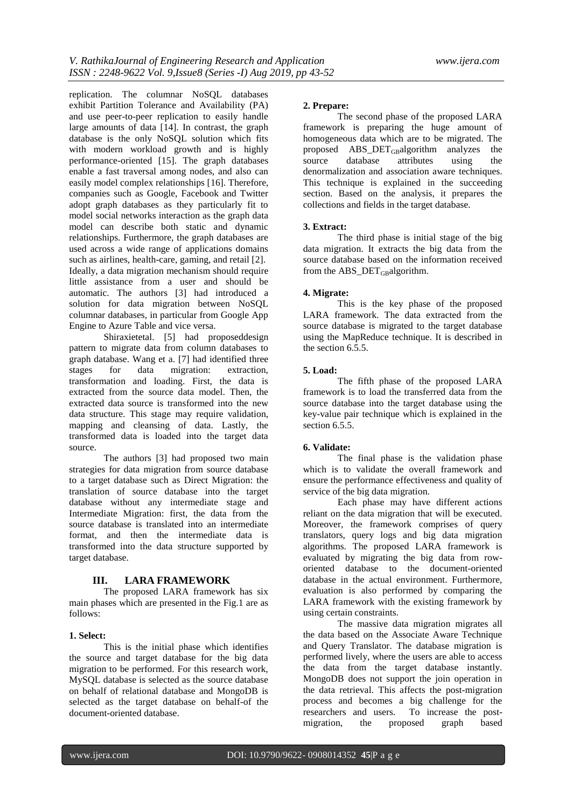replication. The columnar NoSQL databases exhibit Partition Tolerance and Availability (PA) and use peer-to-peer replication to easily handle large amounts of data [14]. In contrast, the graph database is the only NoSQL solution which fits with modern workload growth and is highly performance-oriented [15]. The graph databases enable a fast traversal among nodes, and also can easily model complex relationships [16]. Therefore, companies such as Google, Facebook and Twitter adopt graph databases as they particularly fit to model social networks interaction as the graph data model can describe both static and dynamic relationships. Furthermore, the graph databases are used across a wide range of applications domains such as airlines, health-care, gaming, and retail [2]. Ideally, a data migration mechanism should require little assistance from a user and should be automatic. The authors [3] had introduced a solution for data migration between NoSQL columnar databases, in particular from Google App Engine to Azure Table and vice versa.

Shiraxietetal. [5] had proposeddesign pattern to migrate data from column databases to graph database. Wang et a. [7] had identified three stages for data migration: extraction, transformation and loading. First, the data is extracted from the source data model. Then, the extracted data source is transformed into the new data structure. This stage may require validation, mapping and cleansing of data. Lastly, the transformed data is loaded into the target data source.

The authors [3] had proposed two main strategies for data migration from source database to a target database such as Direct Migration: the translation of source database into the target database without any intermediate stage and Intermediate Migration: first, the data from the source database is translated into an intermediate format, and then the intermediate data is transformed into the data structure supported by target database.

### **III. LARA FRAMEWORK**

The proposed LARA framework has six main phases which are presented in the Fig.1 are as follows:

### **1. Select:**

This is the initial phase which identifies the source and target database for the big data migration to be performed. For this research work, MySQL database is selected as the source database on behalf of relational database and MongoDB is selected as the target database on behalf-of the document-oriented database.

### **2. Prepare:**

The second phase of the proposed LARA framework is preparing the huge amount of homogeneous data which are to be migrated. The proposed  $\text{ABS\_DET}_{\text{GB}}$ algorithm analyzes the source database attributes using the denormalization and association aware techniques. This technique is explained in the succeeding section. Based on the analysis, it prepares the collections and fields in the target database.

### **3. Extract:**

The third phase is initial stage of the big data migration. It extracts the big data from the source database based on the information received from the  $ABS\_DET_{GB}$ algorithm.

### **4. Migrate:**

This is the key phase of the proposed LARA framework. The data extracted from the source database is migrated to the target database using the MapReduce technique. It is described in the section 6.5.5.

### **5. Load:**

The fifth phase of the proposed LARA framework is to load the transferred data from the source database into the target database using the key-value pair technique which is explained in the section 6.5.5.

### **6. Validate:**

The final phase is the validation phase which is to validate the overall framework and ensure the performance effectiveness and quality of service of the big data migration.

Each phase may have different actions reliant on the data migration that will be executed. Moreover, the framework comprises of query translators, query logs and big data migration algorithms. The proposed LARA framework is evaluated by migrating the big data from roworiented database to the document-oriented database in the actual environment. Furthermore, evaluation is also performed by comparing the LARA framework with the existing framework by using certain constraints.

The massive data migration migrates all the data based on the Associate Aware Technique and Query Translator. The database migration is performed lively, where the users are able to access the data from the target database instantly. MongoDB does not support the join operation in the data retrieval. This affects the post-migration process and becomes a big challenge for the researchers and users. To increase the postmigration, the proposed graph based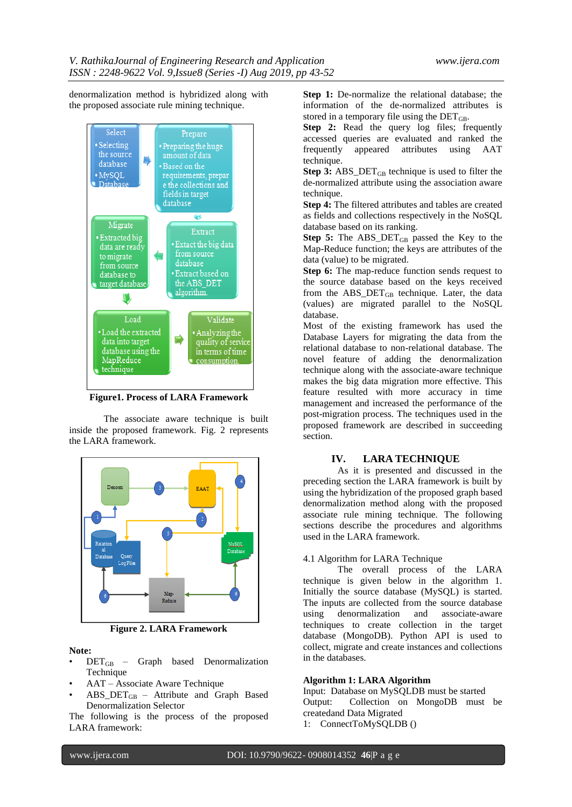denormalization method is hybridized along with the proposed associate rule mining technique.



**Figure1. Process of LARA Framework**

The associate aware technique is built inside the proposed framework. Fig. 2 represents the LARA framework.



**Figure 2. LARA Framework**

### **Note:**

- $DET_{GB}$  Graph based Denormalization Technique
- AAT Associate Aware Technique
- ABS\_DETGB Attribute and Graph Based Denormalization Selector

The following is the process of the proposed LARA framework:

**Step 1:** De-normalize the relational database; the information of the de-normalized attributes is stored in a temporary file using the  $\text{DET}_{\text{GB}}$ .

**Step 2:** Read the query log files; frequently accessed queries are evaluated and ranked the frequently appeared attributes using AAT technique.

**Step 3:** ABS\_DET $_{GB}$  technique is used to filter the de-normalized attribute using the association aware technique.

**Step 4:** The filtered attributes and tables are created as fields and collections respectively in the NoSQL database based on its ranking.

Step 5: The ABS\_DET<sub>GB</sub> passed the Key to the Map-Reduce function; the keys are attributes of the data (value) to be migrated.

**Step 6:** The map-reduce function sends request to the source database based on the keys received from the ABS  $DET_{GB}$  technique. Later, the data (values) are migrated parallel to the NoSQL database.

Most of the existing framework has used the Database Layers for migrating the data from the relational database to non-relational database. The novel feature of adding the denormalization technique along with the associate-aware technique makes the big data migration more effective. This feature resulted with more accuracy in time management and increased the performance of the post-migration process. The techniques used in the proposed framework are described in succeeding section.

### **IV. LARA TECHNIQUE**

As it is presented and discussed in the preceding section the LARA framework is built by using the hybridization of the proposed graph based denormalization method along with the proposed associate rule mining technique. The following sections describe the procedures and algorithms used in the LARA framework.

### 4.1 Algorithm for LARA Technique

The overall process of the LARA technique is given below in the algorithm 1. Initially the source database (MySQL) is started. The inputs are collected from the source database<br>using denormalization and associate-aware using denormalization and techniques to create collection in the target database (MongoDB). Python API is used to collect, migrate and create instances and collections in the databases.

### **Algorithm 1: LARA Algorithm**

Input: Database on MySQLDB must be started Output: Collection on MongoDB must be createdand Data Migrated

1: ConnectToMySQLDB ()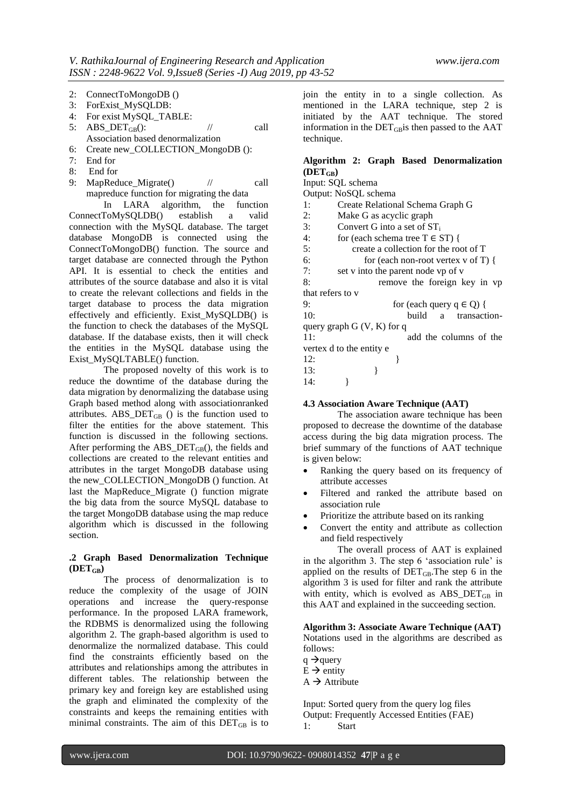- 2: ConnectToMongoDB ()
- 3: ForExist\_MySQLDB:
- 4: For exist MySQL\_TABLE:
- 5:  $ABS\_DET_{GB}$ (): // call
- Association based denormalization
- 6: Create new\_COLLECTION\_MongoDB ():
- 7: End for
- 8: End for
- 9: MapReduce Migrate() // call mapreduce function for migrating the data

In LARA algorithm, the function ConnectToMySQLDB() establish a valid connection with the MySQL database. The target database MongoDB is connected using the ConnectToMongoDB() function. The source and target database are connected through the Python API. It is essential to check the entities and attributes of the source database and also it is vital to create the relevant collections and fields in the target database to process the data migration effectively and efficiently. Exist\_MySQLDB() is the function to check the databases of the MySQL database. If the database exists, then it will check the entities in the MySQL database using the Exist\_MySQLTABLE() function.

The proposed novelty of this work is to reduce the downtime of the database during the data migration by denormalizing the database using Graph based method along with associationranked attributes.  $\text{ABS\_DET}_{\text{GB}}$  () is the function used to filter the entities for the above statement. This function is discussed in the following sections. After performing the  $ABS\_DET_{GB}()$ , the fields and collections are created to the relevant entities and attributes in the target MongoDB database using the new\_COLLECTION\_MongoDB () function. At last the MapReduce\_Migrate () function migrate the big data from the source MySQL database to the target MongoDB database using the map reduce algorithm which is discussed in the following section.

### **.2 Graph Based Denormalization Technique (DETGB)**

The process of denormalization is to reduce the complexity of the usage of JOIN operations and increase the query-response performance. In the proposed LARA framework, the RDBMS is denormalized using the following algorithm 2. The graph-based algorithm is used to denormalize the normalized database. This could find the constraints efficiently based on the attributes and relationships among the attributes in different tables. The relationship between the primary key and foreign key are established using the graph and eliminated the complexity of the constraints and keeps the remaining entities with minimal constraints. The aim of this  $DET_{GB}$  is to join the entity in to a single collection. As mentioned in the LARA technique, step 2 is initiated by the AAT technique. The stored information in the  $\text{DET}_{\text{GB}}$  is then passed to the AAT technique.

# **Algorithm 2: Graph Based Denormalization**

 $(DET_{CR})$ Input: SQL schema Output: NoSQL schema 1: Create Relational Schema Graph G 2: Make G as acyclic graph 3: Convert G into a set of  $ST_i$ <br>4: for (each schema tree  $T \in S$ for (each schema tree  $T \in ST$ ) { 5: create a collection for the root of T 6: for (each non-root vertex v of T) { 7: set v into the parent node vp of v 8: remove the foreign key in vp that refers to v 9: for (each query  $q \in Q$ ) { 10: build a transactionquery graph G (V, K) for q 11: add the columns of the vertex d to the entity e  $12:$  } 13: } 14: }

### **4.3 Association Aware Technique (AAT)**

The association aware technique has been proposed to decrease the downtime of the database access during the big data migration process. The brief summary of the functions of AAT technique is given below:

- Ranking the query based on its frequency of attribute accesses
- Filtered and ranked the attribute based on association rule
- Prioritize the attribute based on its ranking
- Convert the entity and attribute as collection and field respectively

The overall process of AAT is explained in the algorithm 3. The step 6 'association rule' is applied on the results of  $DET_{GB}$ . The step 6 in the algorithm 3 is used for filter and rank the attribute with entity, which is evolved as  $\text{ABS\_DET}_{\text{GB}}$  in this AAT and explained in the succeeding section.

**Algorithm 3: Associate Aware Technique (AAT)** Notations used in the algorithms are described as follows:

- $q \rightarrow$ query
- $\hat{E} \rightarrow$  entity
- $A \rightarrow$  Attribute

Input: Sorted query from the query log files Output: Frequently Accessed Entities (FAE) 1: Start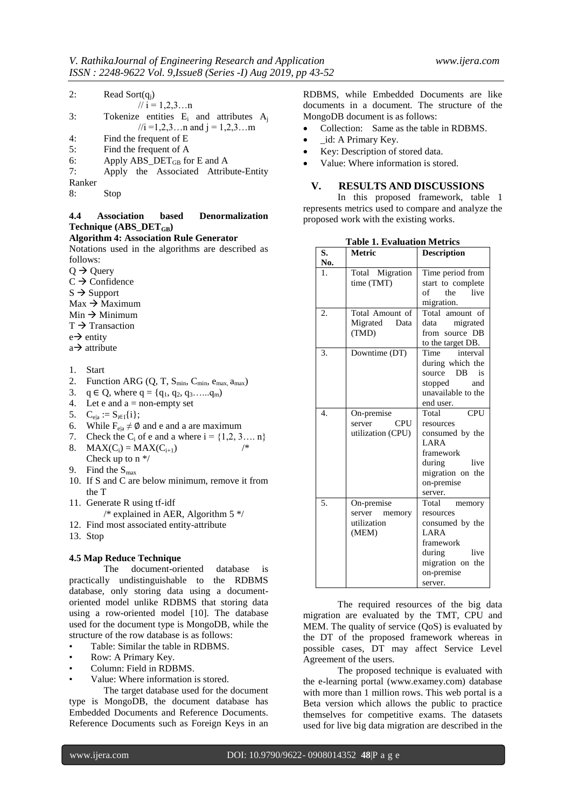| 2: | Read Sort $(q_i)$ |
|----|-------------------|
|----|-------------------|

|        | $// i = 1,2,3n$                              |
|--------|----------------------------------------------|
| 3:     | Tokenize entities $E_i$ and attributes $A_i$ |
|        | //i = 1,2,3n and j = 1,2,3m                  |
| 4:     | Find the frequent of E                       |
| 5:     | Find the frequent of A                       |
| 6:     | Apply ABS_DET <sub>GB</sub> for E and A      |
| 7:     | Apply the Associated Attribute-Entity        |
| Ranker |                                              |

8: Stop

### **4.4 Association based Denormalization Technique (ABS\_DETGB)**

### **Algorithm 4: Association Rule Generator**

Notations used in the algorithms are described as follows:

 $Q \rightarrow Q$  Ouery

- $C \rightarrow$  Confidence
- $S \rightarrow$  Support
- $Max \rightarrow Maximum$
- $Min \rightarrow Minimum$
- $T \rightarrow T$ ransaction
- $e \rightarrow$  entity
- $a \rightarrow$  attribute
- 1. Start
- 2. Function ARG  $(Q, T, S_{min}, C_{min}, e_{max}, a_{max})$
- 3.  $q \in Q$ , where  $q = \{q_1, q_2, q_3, \ldots, q_m\}$
- 4. Let  $e$  and  $a = non-empty set$
- 5.  $C_{ela} := S_{i \in I}{i};$
- 6. While  $F_{ela} \neq \emptyset$  and e and a are maximum
- 7. Check the C<sub>i</sub> of e and a where  $i = \{1, 2, 3,... n\}$ <br>8. MAX(C) = MAX(C)...
- 8.  $MAX(C_i) = MAX(C_{i+1})$ Check up to n \*/
- 9. Find the  $S<sub>max</sub>$
- 10. If S and C are below minimum, remove it from the T
- 11. Generate R using tf-idf  $/*$  explained in AER, Algorithm 5  $*/$
- 12. Find most associated entity-attribute
- 13. Stop

### **4.5 Map Reduce Technique**

The document-oriented database is practically undistinguishable to the RDBMS database, only storing data using a documentoriented model unlike RDBMS that storing data using a row-oriented model [10]. The database used for the document type is MongoDB, while the structure of the row database is as follows:

- Table: Similar the table in RDBMS.
- Row: A Primary Key.
- Column: Field in RDBMS.
- Value: Where information is stored.

The target database used for the document type is MongoDB, the document database has Embedded Documents and Reference Documents. Reference Documents such as Foreign Keys in an RDBMS, while Embedded Documents are like documents in a document. The structure of the MongoDB document is as follows:

- Collection: Same as the table in RDBMS.
- \_id: A Primary Key.
- Key: Description of stored data.
- Value: Where information is stored.

### **V. RESULTS AND DISCUSSIONS**

In this proposed framework, table 1 represents metrics used to compare and analyze the proposed work with the existing works.

| S.               | <b>Metric</b>                                          | <b>Description</b>                                                                                                                      |
|------------------|--------------------------------------------------------|-----------------------------------------------------------------------------------------------------------------------------------------|
| No.              |                                                        |                                                                                                                                         |
| 1.               | Total Migration<br>time (TMT)                          | Time period from<br>start to complete<br>the<br>live<br>of<br>migration.                                                                |
| 2.               | Total Amount of<br>Migrated Data<br>(TMD)              | Total amount of<br>data migrated<br>from source DB<br>to the target DB.                                                                 |
| 3.               | Downtime (DT)                                          | interval<br>Time<br>during which the<br>source DB<br>is<br>stopped<br>and<br>unavailable to the<br>end user.                            |
| $\overline{4}$ . | On-premise<br>server<br>CPU<br>utilization (CPU)       | CPU<br>Total<br>resources<br>consumed by the<br><b>LARA</b><br>framework<br>during live<br>migration on the<br>on-premise<br>server.    |
| 5.               | On-premise<br>server<br>memory<br>utilization<br>(MEM) | Total<br>memory<br>resources<br>consumed by the<br><b>LARA</b><br>framework<br>during live<br>migration on the<br>on-premise<br>server. |

**Table 1. Evaluation Metrics**

The required resources of the big data migration are evaluated by the TMT, CPU and MEM. The quality of service (QoS) is evaluated by the DT of the proposed framework whereas in possible cases, DT may affect Service Level Agreement of the users.

The proposed technique is evaluated with the e-learning portal (www.examey.com) database with more than 1 million rows. This web portal is a Beta version which allows the public to practice themselves for competitive exams. The datasets used for live big data migration are described in the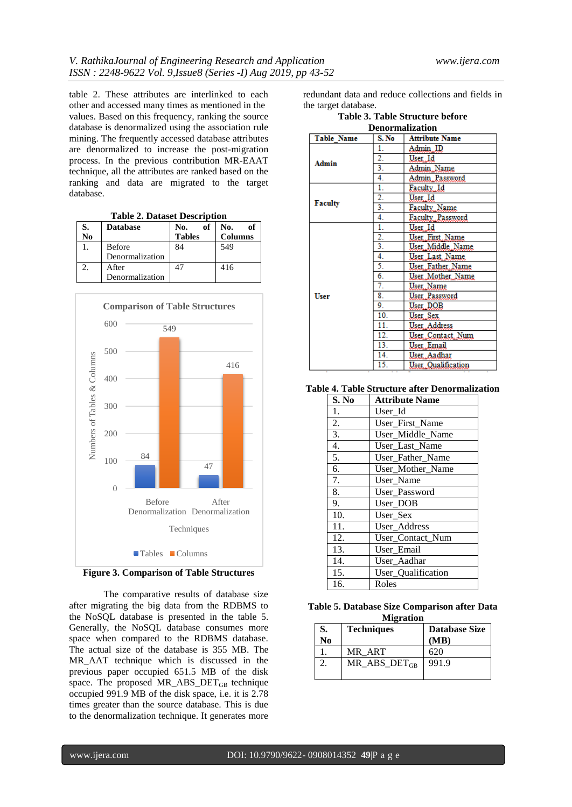table 2. These attributes are interlinked to each other and accessed many times as mentioned in the values. Based on this frequency, ranking the source database is denormalized using the association rule mining. The frequently accessed database attributes are denormalized to increase the post-migration process. In the previous contribution MR-EAAT technique, all the attributes are ranked based on the ranking and data are migrated to the target database.

| <b>Table 2. Dataset Description</b> |                 |               |                |  |
|-------------------------------------|-----------------|---------------|----------------|--|
| S.                                  | <b>Database</b> | оf<br>No.     | of<br>No.      |  |
| No                                  |                 | <b>Tables</b> | <b>Columns</b> |  |
|                                     | <b>Before</b>   | 84            | 549            |  |
|                                     | Denormalization |               |                |  |
| 2.                                  | After           | 47            | 416            |  |
|                                     | Denormalization |               |                |  |





The comparative results of database size after migrating the big data from the RDBMS to the NoSQL database is presented in the table 5. Generally, the NoSQL database consumes more space when compared to the RDBMS database. The actual size of the database is 355 MB. The MR\_AAT technique which is discussed in the previous paper occupied 651.5 MB of the disk space. The proposed  $MR\_ABS\_DET_{GB}$  technique occupied 991.9 MB of the disk space, i.e. it is 2.78 times greater than the source database. This is due to the denormalization technique. It generates more redundant data and reduce collections and fields in the target database.

| Table 3. Table Structure before |  |
|---------------------------------|--|
| <b>Denormalization</b>          |  |

| DUNUI MANLAUVII                              |                  |                    |  |  |  |
|----------------------------------------------|------------------|--------------------|--|--|--|
| Table Name<br>S. No<br><b>Attribute Name</b> |                  |                    |  |  |  |
|                                              | 1.               | Admin ID           |  |  |  |
|                                              | $\overline{2}$ . | User, Id           |  |  |  |
| Admin                                        | 3.               | Admin Name         |  |  |  |
|                                              | 4.               | Admin Password     |  |  |  |
|                                              | 1.               | Faculty, Id        |  |  |  |
|                                              | $\overline{2}$ . | User Id            |  |  |  |
| <b>Faculty</b>                               | 3.               | Faculty, Name      |  |  |  |
|                                              | 4.               | Faculty, Password  |  |  |  |
|                                              | 1.               | User, Id           |  |  |  |
|                                              | 2.               | User First Name    |  |  |  |
|                                              | 3.               | User Middle Name   |  |  |  |
|                                              | 4.               | User Last Name     |  |  |  |
|                                              | 5.               | User Father Name   |  |  |  |
|                                              | 6.               | User Mother Name   |  |  |  |
|                                              | 7.               | User, Name         |  |  |  |
| User                                         | 8.               | User Password      |  |  |  |
|                                              | 9.               | User DOB           |  |  |  |
|                                              | 10.              | User, Sex          |  |  |  |
|                                              | 11.              | User, Address      |  |  |  |
|                                              | 12.              | User Contact Num   |  |  |  |
|                                              | 13.              | User Email         |  |  |  |
|                                              | 14.              | User Aadhar        |  |  |  |
|                                              | 15.              | User Qualification |  |  |  |

**Table 4. Table Structure after Denormalization**

| S. No            | <b>Attribute Name</b> |
|------------------|-----------------------|
| 1.               | User Id               |
| 2.               | User First Name       |
| $\overline{3}$ . | User_Middle_Name      |
| 4.               | User Last Name        |
| 5.               | User_Father_Name      |
| 6.               | User Mother Name      |
| 7.               | User Name             |
| 8.               | User Password         |
| 9.               | User_DOB              |
| 10.              | User Sex              |
| 11.              | User_Address          |
| 12.              | User_Contact_Num      |
| 13.              | User Email            |
| 14.              | User_Aadhar           |
| 15.              | User_Qualification    |
| 16.              | Roles                 |

|  | Table 5. Database Size Comparison after Data |  |
|--|----------------------------------------------|--|
|  | <b>Migration</b>                             |  |

| .  |                     |                      |  |  |
|----|---------------------|----------------------|--|--|
| S. | <b>Techniques</b>   | <b>Database Size</b> |  |  |
| No |                     | (MB)                 |  |  |
|    | MR ART              | 620                  |  |  |
|    | $MR\_ABS\_DET_{GB}$ | 991.9                |  |  |
|    |                     |                      |  |  |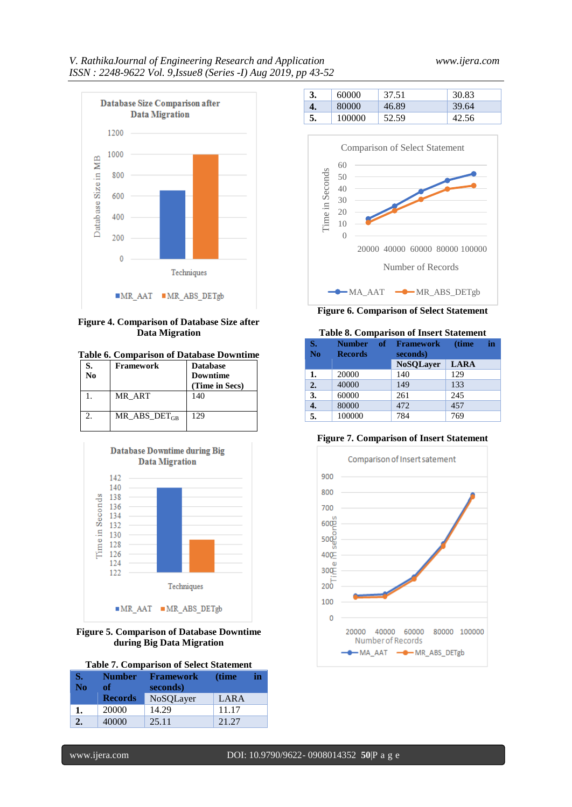

### **Figure 4. Comparison of Database Size after Data Migration**

### **Table 6. Comparison of Database Downtime**

| S.<br>No | Framework         | <b>Database</b><br><b>Downtime</b><br>(Time in Secs) |
|----------|-------------------|------------------------------------------------------|
|          | MR ART            | 140                                                  |
|          | MR ABS $DET_{GB}$ | 129                                                  |



### **Figure 5. Comparison of Database Downtime during Big Data Migration**

|  | <b>Table 7. Comparison of Select Statement</b> |  |  |
|--|------------------------------------------------|--|--|
|--|------------------------------------------------|--|--|

| 'S7 | <b>Number</b>  | <b>Framework</b> | (time | in |
|-----|----------------|------------------|-------|----|
| No  | of.            | seconds)         |       |    |
|     | <b>Records</b> | NoSQLayer        | LARA  |    |
| 1.  | 20000          | 14.29            | 11.17 |    |
|     | 40000          | 25.11            | 21.27 |    |

|    | 60000  | 37.51 | 30.83 |
|----|--------|-------|-------|
| т. | 80000  | 46.89 | 39.64 |
|    | 100000 |       | 42.56 |



**Figure 6. Comparison of Select Statement**

### **Table 8. Comparison of Insert Statement**

| S.<br>N <sub>0</sub> | <b>Number</b><br><b>Records</b> | of | <b>Framework</b><br>seconds) | (time       | in |
|----------------------|---------------------------------|----|------------------------------|-------------|----|
|                      |                                 |    | <b>NoSQLayer</b>             | <b>LARA</b> |    |
| 1.                   | 20000                           |    | 140                          | 129         |    |
| 2.                   | 40000                           |    | 149                          | 133         |    |
| 3.                   | 60000                           |    | 261                          | 245         |    |
| 4.                   | 80000                           |    | 472                          | 457         |    |
| 5.                   | 100000                          |    | 784                          | 769         |    |

### **Figure 7. Comparison of Insert Statement**

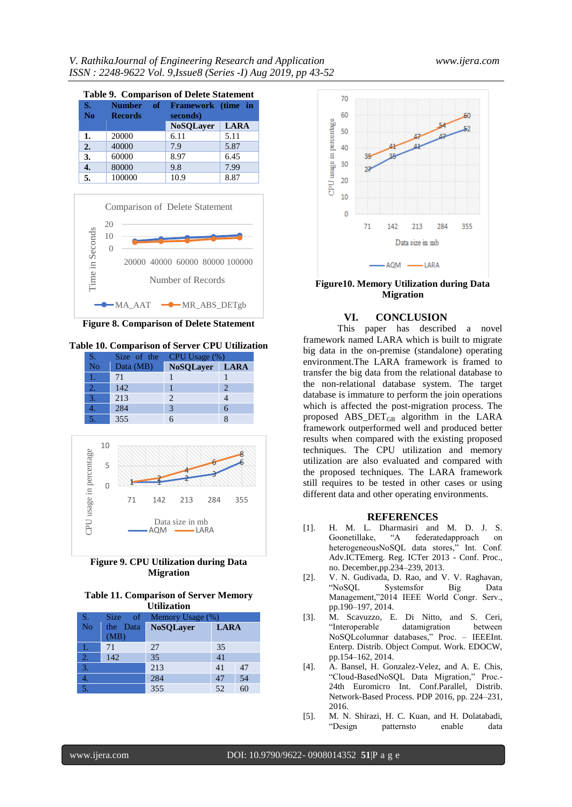| <b>Table 9. Comparison of Delete Statement</b> |                                 |    |                                |             |
|------------------------------------------------|---------------------------------|----|--------------------------------|-------------|
| S.<br>N <sub>0</sub>                           | <b>Number</b><br><b>Records</b> | of | Framework (time in<br>seconds) |             |
|                                                |                                 |    | <b>NoSQLayer</b>               | <b>LARA</b> |
| 1.                                             | 20000                           |    | 6.11                           | 5.11        |
| 2.                                             | 40000                           |    | 7.9                            | 5.87        |
| 3.                                             | 60000                           |    | 8.97                           | 6.45        |
| 4.                                             | 80000                           |    | 9.8                            | 7.99        |
| 5.                                             | 100000                          |    | 10.9                           | 8.87        |



**Figure 8. Comparison of Delete Statement**

**Table 10. Comparison of Server CPU Utilization**

| <b>S</b>           | Size of the | CPU Usage (%)  |   |  |
|--------------------|-------------|----------------|---|--|
| $\overline{N_{0}}$ | Data (MB)   | NoSQLayer LARA |   |  |
|                    | 71          |                |   |  |
|                    | 142         |                |   |  |
| 3.                 | 213         |                |   |  |
|                    | 284         |                | 6 |  |
|                    | 355         |                |   |  |







| S.             |          | Size of Memory Usage (%)        |    |    |
|----------------|----------|---------------------------------|----|----|
| <b>No</b>      | the Data | <b>NoSQLayer</b><br><b>LARA</b> |    |    |
|                | (MB)     |                                 |    |    |
|                | 71       | 27                              | 35 |    |
| $\overline{2}$ | 142      | 35                              | 41 |    |
| 3.             |          | 213                             | 41 | 47 |
|                |          | 284                             | 47 | 54 |
|                |          | 355                             | 52 |    |



**Figure10. Memory Utilization during Data Migration**

### **VI. CONCLUSION**

This paper has described a novel framework named LARA which is built to migrate big data in the on-premise (standalone) operating environment.The LARA framework is framed to transfer the big data from the relational database to the non-relational database system. The target database is immature to perform the join operations which is affected the post-migration process. The proposed ABS\_DET<sub>GB</sub> algorithm in the LARA framework outperformed well and produced better results when compared with the existing proposed techniques. The CPU utilization and memory utilization are also evaluated and compared with the proposed techniques. The LARA framework still requires to be tested in other cases or using different data and other operating environments.

### **REFERENCES**

- [1]. H. M. L. Dharmasiri and M. D. J. S. Goonetillake, "A federatedapproach on heterogeneousNoSQL data stores," Int. Conf. Adv.ICTEmerg. Reg. ICTer 2013 - Conf. Proc., no. December,pp.234–239, 2013.
- [2]. V. N. Gudivada, D. Rao, and V. V. Raghavan, "NoSQL Systemsfor Big Data Management,"2014 IEEE World Congr. Serv., pp.190–197, 2014.
- [3]. M. Scavuzzo, E. Di Nitto, and S. Ceri, "Interoperable datamigration between NoSQLcolumnar databases," Proc. – IEEEInt. Enterp. Distrib. Object Comput. Work. EDOCW, pp.154–162, 2014.
- [4]. A. Bansel, H. Gonzalez-Velez, and A. E. Chis, "Cloud-BasedNoSQL Data Migration," Proc.- 24th Euromicro Int. Conf.Parallel, Distrib. Network-Based Process. PDP 2016, pp. 224–231, 2016.
- [5]. M. N. Shirazi, H. C. Kuan, and H. Dolatabadi, "Design patternsto enable data